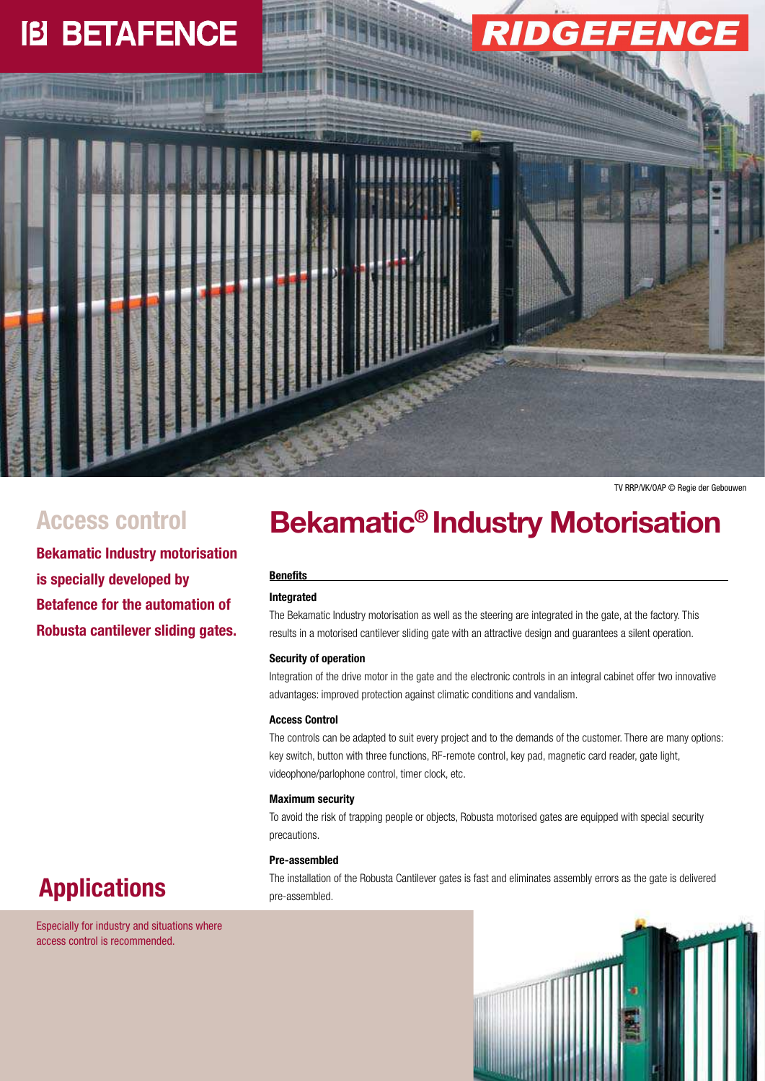# **IB BETAFENCE**



**Bekamatic Industry motorisation is specially developed by Betafence for the automation of Robusta cantilever sliding gates.**

## Access control **Bekamatic<sup>®</sup> Industry Motorisation**

#### **Benefits**

#### **Integrated**

The Bekamatic Industry motorisation as well as the steering are integrated in the gate, at the factory. This results in a motorised cantilever sliding gate with an attractive design and guarantees a silent operation.

#### **Security of operation**

Integration of the drive motor in the gate and the electronic controls in an integral cabinet offer two innovative advantages: improved protection against climatic conditions and vandalism.

#### **Access Control**

The controls can be adapted to suit every project and to the demands of the customer. There are many options: key switch, button with three functions, RF-remote control, key pad, magnetic card reader, gate light, videophone/parlophone control, timer clock, etc.

#### **Maximum security**

To avoid the risk of trapping people or objects, Robusta motorised gates are equipped with special security precautions.

#### **Pre-assembled**

The installation of the Robusta Cantilever gates is fast and eliminates assembly errors as the gate is delivered pre-assembled.





Especially for industry and situations where access control is recommended.